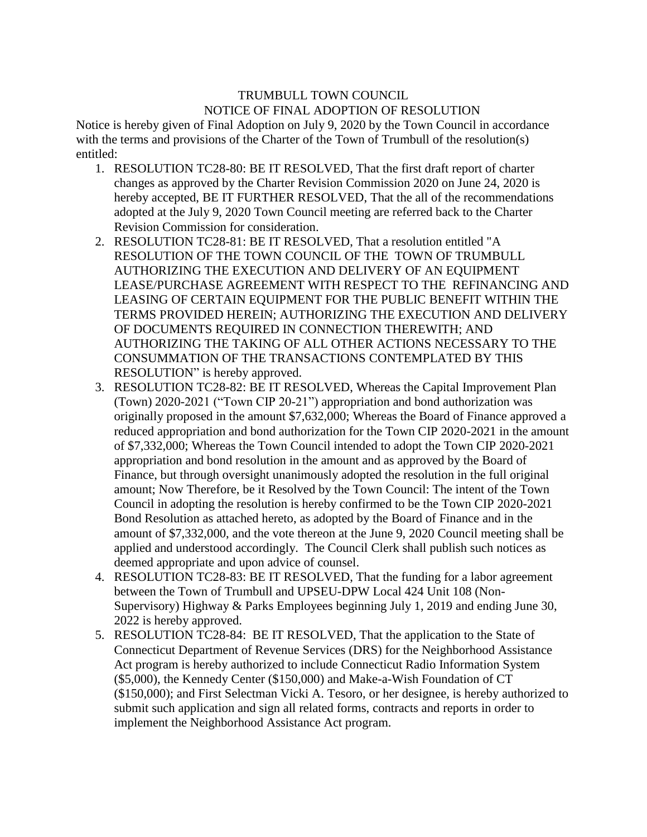## TRUMBULL TOWN COUNCIL NOTICE OF FINAL ADOPTION OF RESOLUTION

Notice is hereby given of Final Adoption on July 9, 2020 by the Town Council in accordance with the terms and provisions of the Charter of the Town of Trumbull of the resolution(s) entitled:

- 1. RESOLUTION TC28-80: BE IT RESOLVED, That the first draft report of charter changes as approved by the Charter Revision Commission 2020 on June 24, 2020 is hereby accepted, BE IT FURTHER RESOLVED, That the all of the recommendations adopted at the July 9, 2020 Town Council meeting are referred back to the Charter Revision Commission for consideration.
- 2. RESOLUTION TC28-81: BE IT RESOLVED, That a resolution entitled "A RESOLUTION OF THE TOWN COUNCIL OF THE TOWN OF TRUMBULL AUTHORIZING THE EXECUTION AND DELIVERY OF AN EQUIPMENT LEASE/PURCHASE AGREEMENT WITH RESPECT TO THE REFINANCING AND LEASING OF CERTAIN EQUIPMENT FOR THE PUBLIC BENEFIT WITHIN THE TERMS PROVIDED HEREIN; AUTHORIZING THE EXECUTION AND DELIVERY OF DOCUMENTS REQUIRED IN CONNECTION THEREWITH; AND AUTHORIZING THE TAKING OF ALL OTHER ACTIONS NECESSARY TO THE CONSUMMATION OF THE TRANSACTIONS CONTEMPLATED BY THIS RESOLUTION" is hereby approved.
- 3. RESOLUTION TC28-82: BE IT RESOLVED, Whereas the Capital Improvement Plan (Town) 2020-2021 ("Town CIP 20-21") appropriation and bond authorization was originally proposed in the amount \$7,632,000; Whereas the Board of Finance approved a reduced appropriation and bond authorization for the Town CIP 2020-2021 in the amount of \$7,332,000; Whereas the Town Council intended to adopt the Town CIP 2020-2021 appropriation and bond resolution in the amount and as approved by the Board of Finance, but through oversight unanimously adopted the resolution in the full original amount; Now Therefore, be it Resolved by the Town Council: The intent of the Town Council in adopting the resolution is hereby confirmed to be the Town CIP 2020-2021 Bond Resolution as attached hereto, as adopted by the Board of Finance and in the amount of \$7,332,000, and the vote thereon at the June 9, 2020 Council meeting shall be applied and understood accordingly. The Council Clerk shall publish such notices as deemed appropriate and upon advice of counsel.
- 4. RESOLUTION TC28-83: BE IT RESOLVED, That the funding for a labor agreement between the Town of Trumbull and UPSEU-DPW Local 424 Unit 108 (Non-Supervisory) Highway & Parks Employees beginning July 1, 2019 and ending June 30, 2022 is hereby approved.
- 5. RESOLUTION TC28-84: BE IT RESOLVED, That the application to the State of Connecticut Department of Revenue Services (DRS) for the Neighborhood Assistance Act program is hereby authorized to include Connecticut Radio Information System (\$5,000), the Kennedy Center (\$150,000) and Make-a-Wish Foundation of CT (\$150,000); and First Selectman Vicki A. Tesoro, or her designee, is hereby authorized to submit such application and sign all related forms, contracts and reports in order to implement the Neighborhood Assistance Act program.